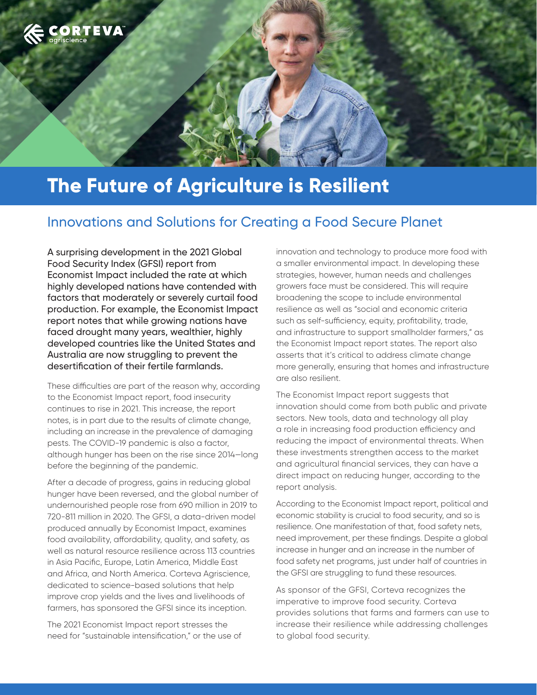

# **The Future of Agriculture is Resilient**

## Innovations and Solutions for Creating a Food Secure Planet

A surprising development in the 2021 Global Food Security Index (GFSI) report from Economist Impact included the rate at which highly developed nations have contended with factors that moderately or severely curtail food production. For example, the Economist Impact report notes that while growing nations have faced drought many years, wealthier, highly developed countries like the United States and Australia are now struggling to prevent the desertification of their fertile farmlands.

These difficulties are part of the reason why, according to the Economist Impact report, food insecurity continues to rise in 2021. This increase, the report notes, is in part due to the results of climate change, including an increase in the prevalence of damaging pests. The COVID-19 pandemic is also a factor, although hunger has been on the rise since 2014—long before the beginning of the pandemic.

After a decade of progress, gains in reducing global hunger have been reversed, and the global number of undernourished people rose from 690 million in 2019 to 720-811 million in 2020. The GFSI, a data-driven model produced annually by Economist Impact, examines food availability, affordability, quality, and safety, as well as natural resource resilience across 113 countries in Asia Pacific, Europe, Latin America, Middle East and Africa, and North America. Corteva Agriscience, dedicated to science-based solutions that help improve crop yields and the lives and livelihoods of farmers, has sponsored the GFSI since its inception.

The 2021 Economist Impact report stresses the need for "sustainable intensification," or the use of innovation and technology to produce more food with a smaller environmental impact. In developing these strategies, however, human needs and challenges growers face must be considered. This will require broadening the scope to include environmental resilience as well as "social and economic criteria such as self-sufficiency, equity, profitability, trade, and infrastructure to support smallholder farmers," as the Economist Impact report states. The report also asserts that it's critical to address climate change more generally, ensuring that homes and infrastructure are also resilient.

The Economist Impact report suggests that innovation should come from both public and private sectors. New tools, data and technology all play a role in increasing food production efficiency and reducing the impact of environmental threats. When these investments strengthen access to the market and agricultural financial services, they can have a direct impact on reducing hunger, according to the report analysis.

According to the Economist Impact report, political and economic stability is crucial to food security, and so is resilience. One manifestation of that, food safety nets, need improvement, per these findings. Despite a global increase in hunger and an increase in the number of food safety net programs, just under half of countries in the GFSI are struggling to fund these resources.

As sponsor of the GFSI, Corteva recognizes the imperative to improve food security. Corteva provides solutions that farms and farmers can use to increase their resilience while addressing challenges to global food security.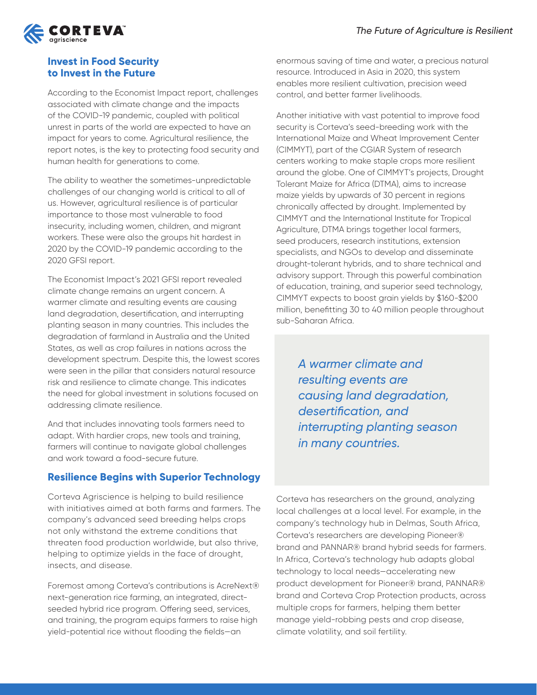

#### **Invest in Food Security to Invest in the Future**

According to the Economist Impact report, challenges associated with climate change and the impacts of the COVID-19 pandemic, coupled with political unrest in parts of the world are expected to have an impact for years to come. Agricultural resilience, the report notes, is the key to protecting food security and human health for generations to come.

The ability to weather the sometimes-unpredictable challenges of our changing world is critical to all of us. However, agricultural resilience is of particular importance to those most vulnerable to food insecurity, including women, children, and migrant workers. These were also the groups hit hardest in 2020 by the COVID-19 pandemic according to the 2020 GFSI report.

The Economist Impact's 2021 GFSI report revealed climate change remains an urgent concern. A warmer climate and resulting events are causing land degradation, desertification, and interrupting planting season in many countries. This includes the degradation of farmland in Australia and the United States, as well as crop failures in nations across the development spectrum. Despite this, the lowest scores were seen in the pillar that considers natural resource risk and resilience to climate change. This indicates the need for global investment in solutions focused on addressing climate resilience.

And that includes innovating tools farmers need to adapt. With hardier crops, new tools and training, farmers will continue to navigate global challenges and work toward a food-secure future.

### **Resilience Begins with Superior Technology**

Corteva Agriscience is helping to build resilience with initiatives aimed at both farms and farmers. The company's advanced seed breeding helps crops not only withstand the extreme conditions that threaten food production worldwide, but also thrive, helping to optimize yields in the face of drought, insects, and disease.

Foremost among Corteva's contributions is AcreNext® next-generation rice farming, an integrated, directseeded hybrid rice program. Offering seed, services, and training, the program equips farmers to raise high yield-potential rice without flooding the fields—an

enormous saving of time and water, a precious natural resource. Introduced in Asia in 2020, this system enables more resilient cultivation, precision weed control, and better farmer livelihoods.

Another initiative with vast potential to improve food security is Corteva's seed-breeding work with the International Maize and Wheat Improvement Center (CIMMYT), part of the CGIAR System of research centers working to make staple crops more resilient around the globe. One of CIMMYT's projects, Drought Tolerant Maize for Africa (DTMA), aims to increase maize yields by upwards of 30 percent in regions chronically affected by drought. Implemented by CIMMYT and the International Institute for Tropical Agriculture, DTMA brings together local farmers, seed producers, research institutions, extension specialists, and NGOs to develop and disseminate drought-tolerant hybrids, and to share technical and advisory support. Through this powerful combination of education, training, and superior seed technology, CIMMYT expects to boost grain yields by \$160-\$200 million, benefitting 30 to 40 million people throughout sub-Saharan Africa.

*A warmer climate and resulting events are causing land degradation, desertification, and interrupting planting season in many countries.* 

Corteva has researchers on the ground, analyzing local challenges at a local level. For example, in the company's technology hub in Delmas, South Africa, Corteva's researchers are developing Pioneer® brand and PANNAR® brand hybrid seeds for farmers. In Africa, Corteva's technology hub adapts global technology to local needs—accelerating new product development for Pioneer® brand, PANNAR® brand and Corteva Crop Protection products, across multiple crops for farmers, helping them better manage yield-robbing pests and crop disease, climate volatility, and soil fertility.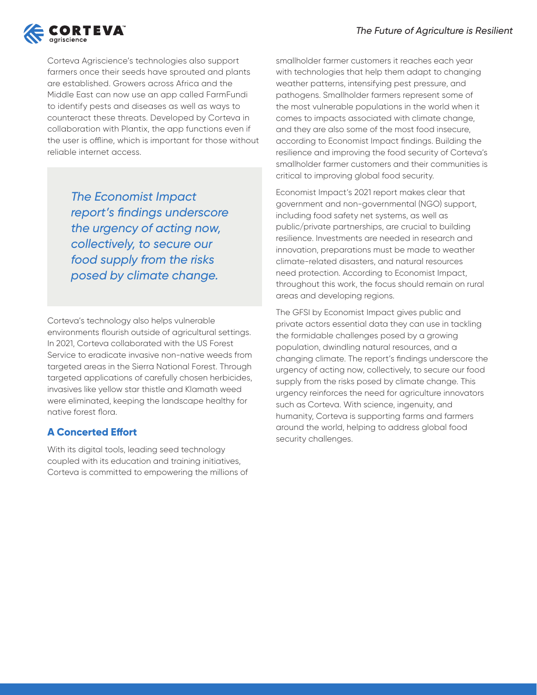

Corteva Agriscience's technologies also support farmers once their seeds have sprouted and plants are established. Growers across Africa and the Middle East can now use an app called FarmFundi to identify pests and diseases as well as ways to counteract these threats. Developed by Corteva in collaboration with Plantix, the app functions even if the user is offline, which is important for those without reliable internet access.

> *The Economist Impact report's findings underscore the urgency of acting now, collectively, to secure our food supply from the risks posed by climate change.*

Corteva's technology also helps vulnerable environments flourish outside of agricultural settings. In 2021, Corteva collaborated with the US Forest Service to eradicate invasive non-native weeds from targeted areas in the Sierra National Forest. Through targeted applications of carefully chosen herbicides, invasives like yellow star thistle and Klamath weed were eliminated, keeping the landscape healthy for native forest flora.

### **A Concerted Effort**

With its digital tools, leading seed technology coupled with its education and training initiatives, Corteva is committed to empowering the millions of smallholder farmer customers it reaches each year with technologies that help them adapt to changing weather patterns, intensifying pest pressure, and pathogens. Smallholder farmers represent some of the most vulnerable populations in the world when it comes to impacts associated with climate change, and they are also some of the most food insecure, according to Economist Impact findings. Building the resilience and improving the food security of Corteva's smallholder farmer customers and their communities is critical to improving global food security.

Economist Impact's 2021 report makes clear that government and non-governmental (NGO) support, including food safety net systems, as well as public/private partnerships, are crucial to building resilience. Investments are needed in research and innovation, preparations must be made to weather climate-related disasters, and natural resources need protection. According to Economist Impact, throughout this work, the focus should remain on rural areas and developing regions.

The GFSI by Economist Impact gives public and private actors essential data they can use in tackling the formidable challenges posed by a growing population, dwindling natural resources, and a changing climate. The report's findings underscore the urgency of acting now, collectively, to secure our food supply from the risks posed by climate change. This urgency reinforces the need for agriculture innovators such as Corteva. With science, ingenuity, and humanity, Corteva is supporting farms and farmers around the world, helping to address global food security challenges.